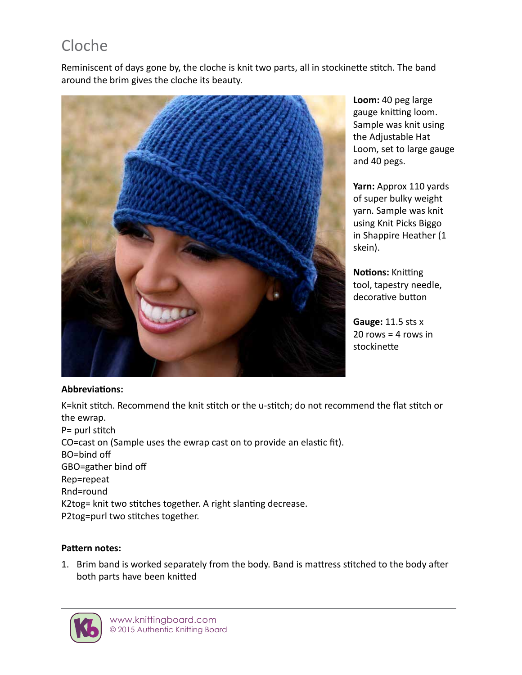# Cloche

Reminiscent of days gone by, the cloche is knit two parts, all in stockinette stitch. The band around the brim gives the cloche its beauty.



**Loom:** 40 peg large gauge knitting loom. Sample was knit using the Adjustable Hat Loom, set to large gauge and 40 pegs.

**Yarn:** Approx 110 yards of super bulky weight yarn. Sample was knit using Knit Picks Biggo in Shappire Heather (1 skein).

**Notions:** Knitting tool, tapestry needle, decorative button

**Gauge:** 11.5 sts x  $20$  rows = 4 rows in stockinette

#### **Abbreviations:**

K=knit stitch. Recommend the knit stitch or the u-stitch; do not recommend the flat stitch or the ewrap. P= purl stitch CO=cast on (Sample uses the ewrap cast on to provide an elastic fit). BO=bind off GBO=gather bind off Rep=repeat Rnd=round K2tog= knit two stitches together. A right slanting decrease. P2tog=purl two stitches together.

# **Pattern notes:**

1. Brim band is worked separately from the body. Band is mattress stitched to the body after both parts have been knitted